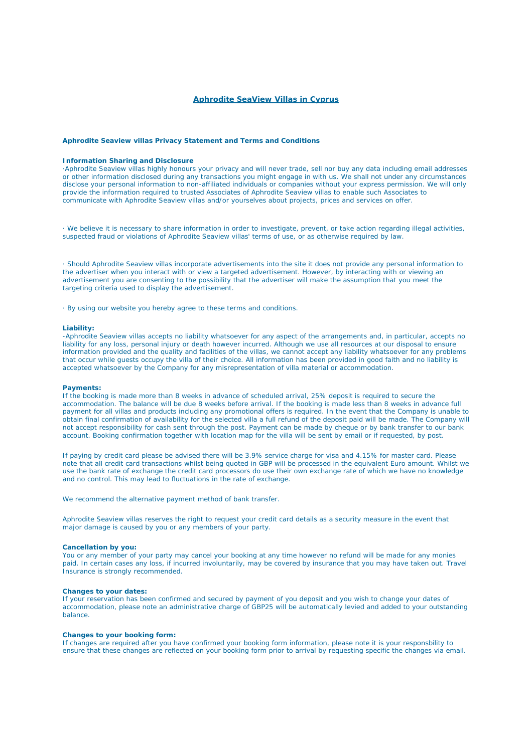# **Aphrodite SeaView Villas in Cyprus**

# **Aphrodite Seaview villas Privacy Statement and Terms and Conditions**

# **Information Sharing and Disclosure**

·Aphrodite Seaview villas highly honours your privacy and will never trade, sell nor buy any data including email addresses or other information disclosed during any transactions you might engage in with us. We shall not under any circumstances disclose your personal information to non-affiliated individuals or companies without your express permission. We will only provide the information required to trusted Associates of Aphrodite Seaview villas to enable such Associates to communicate with Aphrodite Seaview villas and/or yourselves about projects, prices and services on offer.

· We believe it is necessary to share information in order to investigate, prevent, or take action regarding illegal activities, suspected fraud or violations of Aphrodite Seaview villas' terms of use, or as otherwise required by law.

· Should Aphrodite Seaview villas incorporate advertisements into the site it does not provide any personal information to the advertiser when you interact with or view a targeted advertisement. However, by interacting with or viewing an advertisement you are consenting to the possibility that the advertiser will make the assumption that you meet the targeting criteria used to display the advertisement.

· By using our website you hereby agree to these terms and conditions.

## **Liability:**

-Aphrodite Seaview villas accepts no liability whatsoever for any aspect of the arrangements and, in particular, accepts no liability for any loss, personal injury or death however incurred. Although we use all resources at our disposal to ensure information provided and the quality and facilities of the villas, we cannot accept any liability whatsoever for any problems that occur while guests occupy the villa of their choice. All information has been provided in good faith and no liability is accepted whatsoever by the Company for any misrepresentation of villa material or accommodation.

### **Payments:**

If the booking is made more than 8 weeks in advance of scheduled arrival, 25% deposit is required to secure the accommodation. The balance will be due 8 weeks before arrival. If the booking is made less than 8 weeks in advance full payment for all villas and products including any promotional offers is required. In the event that the Company is unable to obtain final confirmation of availability for the selected villa a full refund of the deposit paid will be made. The Company will not accept responsibility for cash sent through the post. Payment can be made by cheque or by bank transfer to our bank account. Booking confirmation together with location map for the villa will be sent by email or if requested, by post.

If paying by credit card please be advised there will be 3.9% service charge for visa and 4.15% for master card. Please note that all credit card transactions whilst being quoted in GBP will be processed in the equivalent Euro amount. Whilst we use the bank rate of exchange the credit card processors do use their own exchange rate of which we have no knowledge and no control. This may lead to fluctuations in the rate of exchange.

We recommend the alternative payment method of bank transfer.

Aphrodite Seaview villas reserves the right to request your credit card details as a security measure in the event that major damage is caused by you or any members of your party.

# **Cancellation by you:**

You or any member of your party may cancel your booking at any time however no refund will be made for any monies paid. In certain cases any loss, if incurred involuntarily, may be covered by insurance that you may have taken out. Travel Insurance is strongly recommended.

## **Changes to your dates:**

If your reservation has been confirmed and secured by payment of you deposit and you wish to change your dates of accommodation, please note an administrative charge of GBP25 will be automatically levied and added to your outstanding balance.

#### **Changes to your booking form:**

If changes are required after you have confirmed your booking form information, please note it is your responsbility to ensure that these changes are reflected on your booking form prior to arrival by requesting specific the changes via email.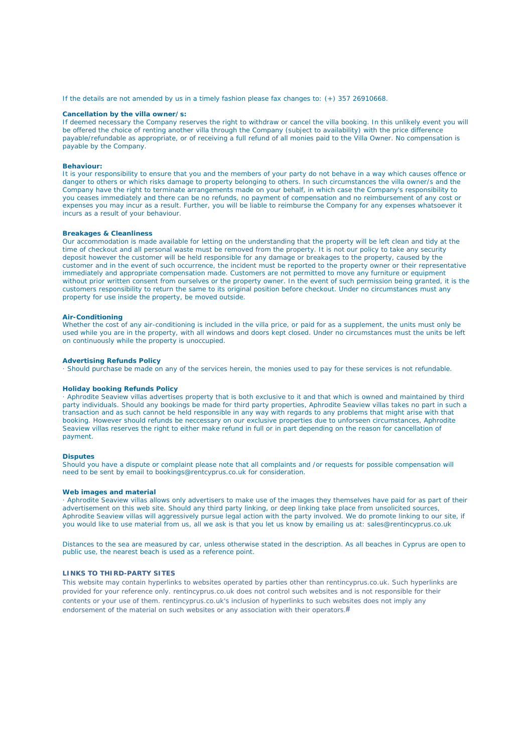If the details are not amended by us in a timely fashion please fax changes to: (+) 357 26910668.

#### **Cancellation by the villa owner/s:**

If deemed necessary the Company reserves the right to withdraw or cancel the villa booking. In this unlikely event you will be offered the choice of renting another villa through the Company (subject to availability) with the price difference payable/refundable as appropriate, or of receiving a full refund of all monies paid to the Villa Owner. No compensation is payable by the Company.

#### **Behaviour:**

It is your responsibility to ensure that you and the members of your party do not behave in a way which causes offence or danger to others or which risks damage to property belonging to others. In such circumstances the villa owner/s and the Company have the right to terminate arrangements made on your behalf, in which case the Company's responsibility to you ceases immediately and there can be no refunds, no payment of compensation and no reimbursement of any cost or expenses you may incur as a result. Further, you will be liable to reimburse the Company for any expenses whatsoever it incurs as a result of your behaviour.

## **Breakages & Cleanliness**

Our accommodation is made available for letting on the understanding that the property will be left clean and tidy at the time of checkout and all personal waste must be removed from the property. It is not our policy to take any security deposit however the customer will be held responsible for any damage or breakages to the property, caused by the customer and in the event of such occurrence, the incident must be reported to the property owner or their representative immediately and appropriate compensation made. Customers are not permitted to move any furniture or equipment without prior written consent from ourselves or the property owner. In the event of such permission being granted, it is the customers responsibility to return the same to its original position before checkout. Under no circumstances must any property for use inside the property, be moved outside.

# **Air-Conditioning**

Whether the cost of any air-conditioning is included in the villa price, or paid for as a supplement, the units must only be used while you are in the property, with all windows and doors kept closed. Under no circumstances must the units be left on continuously while the property is unoccupied.

#### **Advertising Refunds Policy**

· Should purchase be made on any of the services herein, the monies used to pay for these services is not refundable.

#### **Holiday booking Refunds Policy**

· Aphrodite Seaview villas advertises property that is both exclusive to it and that which is owned and maintained by third party individuals. Should any bookings be made for third party properties, Aphrodite Seaview villas takes no part in such a transaction and as such cannot be held responsible in any way with regards to any problems that might arise with that booking. However should refunds be neccessary on our exclusive properties due to unforseen circumstances, Aphrodite Seaview villas reserves the right to either make refund in full or in part depending on the reason for cancellation of payment.

### **Disputes**

Should you have a dispute or complaint please note that all complaints and /or requests for possible compensation will need to be sent by email to bookings@rentcyprus.co.uk for consideration.

### **Web images and material**

· Aphrodite Seaview villas allows only advertisers to make use of the images they themselves have paid for as part of their advertisement on this web site. Should any third party linking, or deep linking take place from unsolicited sources, Aphrodite Seaview villas will aggressively pursue legal action with the party involved. We do promote linking to our site, if you would like to use material from us, all we ask is that you let us know by emailing us at: sales@rentincyprus.co.uk

Distances to the sea are measured by car, unless otherwise stated in the description. As all beaches in Cyprus are open to public use, the nearest beach is used as a reference point.

#### **LINKS TO THIRD-PARTY SITES**

This website may contain hyperlinks to websites operated by parties other than rentincyprus.co.uk. Such hyperlinks are provided for your reference only. rentincyprus.co.uk does not control such websites and is not responsible for their contents or your use of them. rentincyprus.co.uk's inclusion of hyperlinks to such websites does not imply any endorsement of the material on such websites or any association with their operators.#